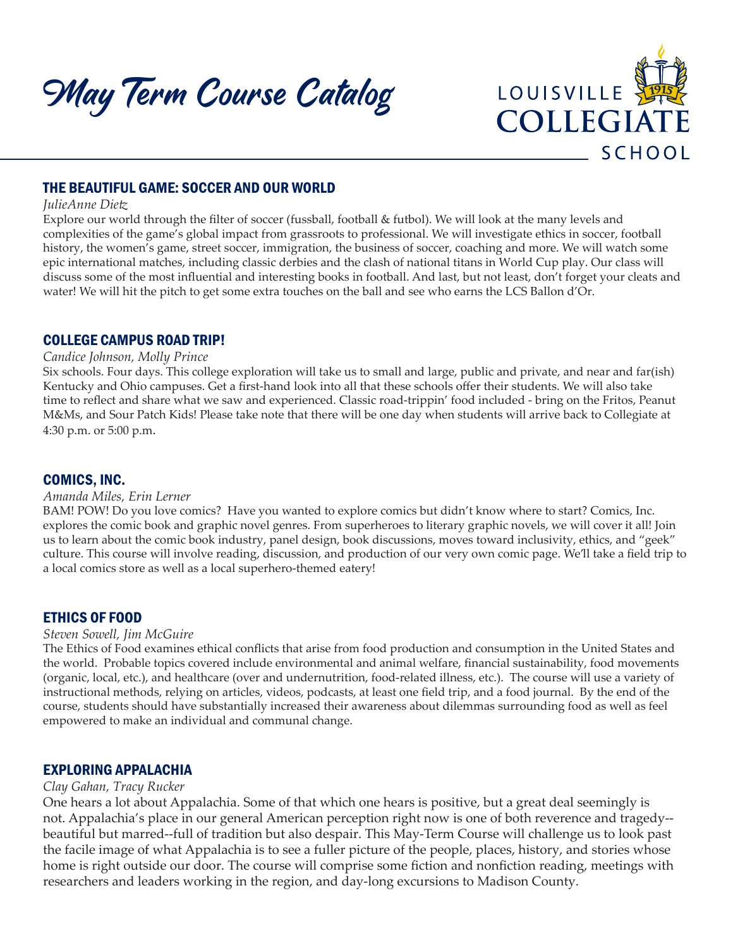May Term Course Catalog



# THE BEAUTIFUL GAME: SOCCER AND OUR WORLD

### *JulieAnne Dietz*

Explore our world through the filter of soccer (fussball, football & futbol). We will look at the many levels and complexities of the game's global impact from grassroots to professional. We will investigate ethics in soccer, football history, the women's game, street soccer, immigration, the business of soccer, coaching and more. We will watch some epic international matches, including classic derbies and the clash of national titans in World Cup play. Our class will discuss some of the most influential and interesting books in football. And last, but not least, don't forget your cleats and water! We will hit the pitch to get some extra touches on the ball and see who earns the LCS Ballon d'Or.

## COLLEGE CAMPUS ROAD TRIP!

### *Candice Johnson, Molly Prince*

Six schools. Four days. This college exploration will take us to small and large, public and private, and near and far(ish) Kentucky and Ohio campuses. Get a first-hand look into all that these schools offer their students. We will also take time to reflect and share what we saw and experienced. Classic road-trippin' food included - bring on the Fritos, Peanut M&Ms, and Sour Patch Kids! Please take note that there will be one day when students will arrive back to Collegiate at 4:30 p.m. or 5:00 p.m.

## COMICS, INC.

#### *Amanda Miles, Erin Lerner*

BAM! POW! Do you love comics? Have you wanted to explore comics but didn't know where to start? Comics, Inc. explores the comic book and graphic novel genres. From superheroes to literary graphic novels, we will cover it all! Join us to learn about the comic book industry, panel design, book discussions, moves toward inclusivity, ethics, and "geek" culture. This course will involve reading, discussion, and production of our very own comic page. We'll take a field trip to a local comics store as well as a local superhero-themed eatery!

### ETHICS OF FOOD

#### *Steven Sowell, Jim McGuire*

The Ethics of Food examines ethical conflicts that arise from food production and consumption in the United States and the world. Probable topics covered include environmental and animal welfare, financial sustainability, food movements (organic, local, etc.), and healthcare (over and undernutrition, food-related illness, etc.). The course will use a variety of instructional methods, relying on articles, videos, podcasts, at least one field trip, and a food journal. By the end of the course, students should have substantially increased their awareness about dilemmas surrounding food as well as feel empowered to make an individual and communal change.

## EXPLORING APPALACHIA

### *Clay Gahan, Tracy Rucker*

One hears a lot about Appalachia. Some of that which one hears is positive, but a great deal seemingly is not. Appalachia's place in our general American perception right now is one of both reverence and tragedy- beautiful but marred--full of tradition but also despair. This May-Term Course will challenge us to look past the facile image of what Appalachia is to see a fuller picture of the people, places, history, and stories whose home is right outside our door. The course will comprise some fiction and nonfiction reading, meetings with researchers and leaders working in the region, and day-long excursions to Madison County.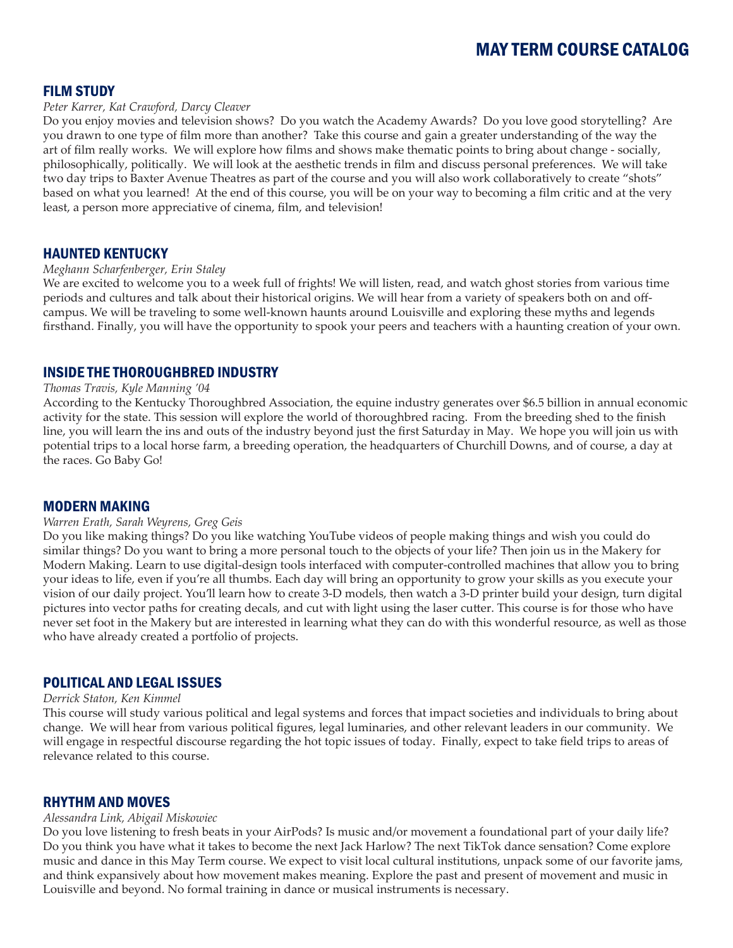## FILM STUDY

#### *Peter Karrer, Kat Crawford, Darcy Cleaver*

Do you enjoy movies and television shows? Do you watch the Academy Awards? Do you love good storytelling? Are you drawn to one type of film more than another? Take this course and gain a greater understanding of the way the art of film really works. We will explore how films and shows make thematic points to bring about change - socially, philosophically, politically. We will look at the aesthetic trends in film and discuss personal preferences. We will take two day trips to Baxter Avenue Theatres as part of the course and you will also work collaboratively to create "shots" based on what you learned! At the end of this course, you will be on your way to becoming a film critic and at the very least, a person more appreciative of cinema, film, and television!

## HAUNTED KENTUCKY

### *Meghann Scharfenberger, Erin Staley*

We are excited to welcome you to a week full of frights! We will listen, read, and watch ghost stories from various time periods and cultures and talk about their historical origins. We will hear from a variety of speakers both on and offcampus. We will be traveling to some well-known haunts around Louisville and exploring these myths and legends firsthand. Finally, you will have the opportunity to spook your peers and teachers with a haunting creation of your own.

## INSIDE THE THOROUGHBRED INDUSTRY

#### *Thomas Travis, Kyle Manning '04*

According to the Kentucky Thoroughbred Association, the equine industry generates over \$6.5 billion in annual economic activity for the state. This session will explore the world of thoroughbred racing. From the breeding shed to the finish line, you will learn the ins and outs of the industry beyond just the first Saturday in May. We hope you will join us with potential trips to a local horse farm, a breeding operation, the headquarters of Churchill Downs, and of course, a day at the races. Go Baby Go!

### MODERN MAKING

#### *Warren Erath, Sarah Weyrens, Greg Geis*

Do you like making things? Do you like watching YouTube videos of people making things and wish you could do similar things? Do you want to bring a more personal touch to the objects of your life? Then join us in the Makery for Modern Making. Learn to use digital-design tools interfaced with computer-controlled machines that allow you to bring your ideas to life, even if you're all thumbs. Each day will bring an opportunity to grow your skills as you execute your vision of our daily project. You'll learn how to create 3-D models, then watch a 3-D printer build your design, turn digital pictures into vector paths for creating decals, and cut with light using the laser cutter. This course is for those who have never set foot in the Makery but are interested in learning what they can do with this wonderful resource, as well as those who have already created a portfolio of projects.

## POLITICAL AND LEGAL ISSUES

#### *Derrick Staton, Ken Kimmel*

This course will study various political and legal systems and forces that impact societies and individuals to bring about change. We will hear from various political figures, legal luminaries, and other relevant leaders in our community. We will engage in respectful discourse regarding the hot topic issues of today. Finally, expect to take field trips to areas of relevance related to this course.

### RHYTHM AND MOVES

#### *Alessandra Link, Abigail Miskowiec*

Do you love listening to fresh beats in your AirPods? Is music and/or movement a foundational part of your daily life? Do you think you have what it takes to become the next Jack Harlow? The next TikTok dance sensation? Come explore music and dance in this May Term course. We expect to visit local cultural institutions, unpack some of our favorite jams, and think expansively about how movement makes meaning. Explore the past and present of movement and music in Louisville and beyond. No formal training in dance or musical instruments is necessary.